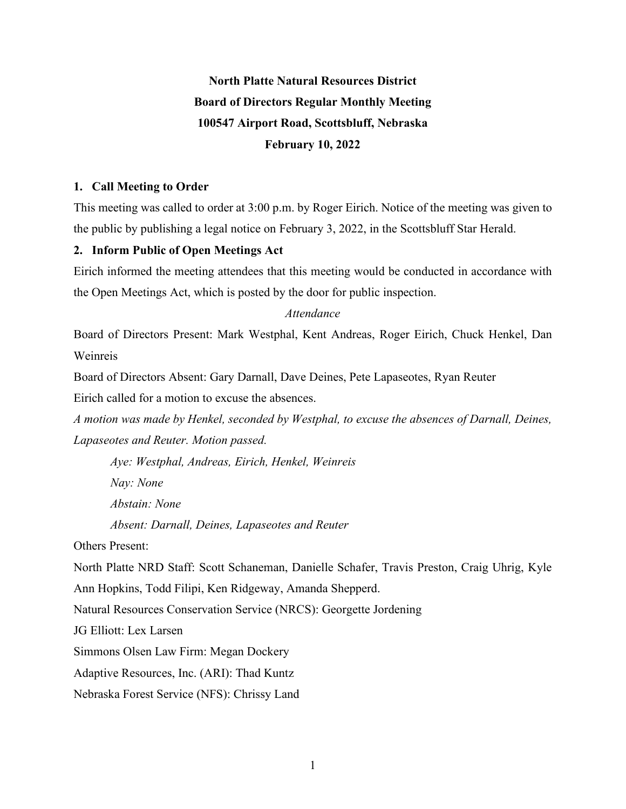# **North Platte Natural Resources District Board of Directors Regular Monthly Meeting 100547 Airport Road, Scottsbluff, Nebraska February 10, 2022**

## **1. Call Meeting to Order**

This meeting was called to order at 3:00 p.m. by Roger Eirich. Notice of the meeting was given to the public by publishing a legal notice on February 3, 2022, in the Scottsbluff Star Herald.

# **2. Inform Public of Open Meetings Act**

Eirich informed the meeting attendees that this meeting would be conducted in accordance with the Open Meetings Act, which is posted by the door for public inspection.

# *Attendance*

Board of Directors Present: Mark Westphal, Kent Andreas, Roger Eirich, Chuck Henkel, Dan Weinreis

Board of Directors Absent: Gary Darnall, Dave Deines, Pete Lapaseotes, Ryan Reuter

Eirich called for a motion to excuse the absences.

*A motion was made by Henkel, seconded by Westphal, to excuse the absences of Darnall, Deines, Lapaseotes and Reuter. Motion passed.*

*Aye: Westphal, Andreas, Eirich, Henkel, Weinreis*

*Nay: None*

*Abstain: None*

*Absent: Darnall, Deines, Lapaseotes and Reuter*

Others Present:

North Platte NRD Staff: Scott Schaneman, Danielle Schafer, Travis Preston, Craig Uhrig, Kyle Ann Hopkins, Todd Filipi, Ken Ridgeway, Amanda Shepperd.

Natural Resources Conservation Service (NRCS): Georgette Jordening

JG Elliott: Lex Larsen

Simmons Olsen Law Firm: Megan Dockery

Adaptive Resources, Inc. (ARI): Thad Kuntz

Nebraska Forest Service (NFS): Chrissy Land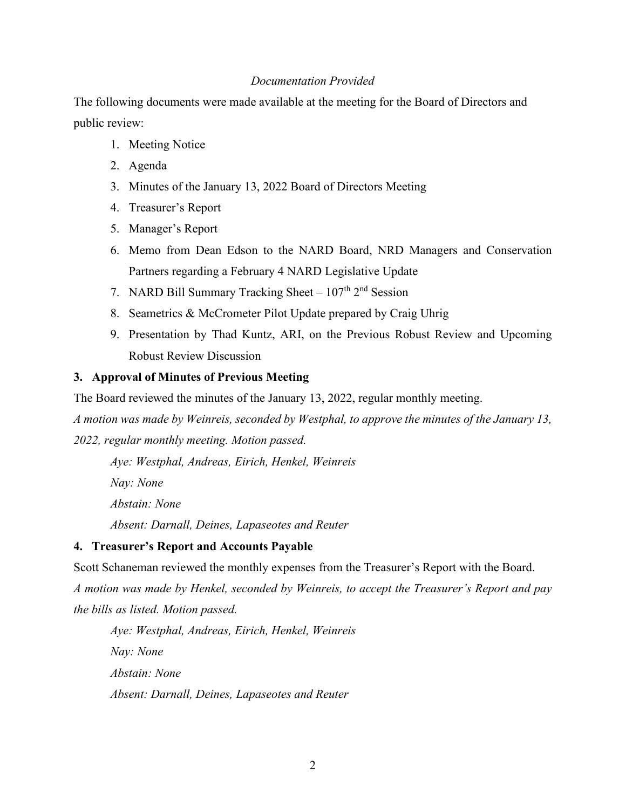## *Documentation Provided*

The following documents were made available at the meeting for the Board of Directors and public review:

- 1. Meeting Notice
- 2. Agenda
- 3. Minutes of the January 13, 2022 Board of Directors Meeting
- 4. Treasurer's Report
- 5. Manager's Report
- 6. Memo from Dean Edson to the NARD Board, NRD Managers and Conservation Partners regarding a February 4 NARD Legislative Update
- 7. NARD Bill Summary Tracking Sheet  $107<sup>th</sup>$  2<sup>nd</sup> Session
- 8. Seametrics & McCrometer Pilot Update prepared by Craig Uhrig
- 9. Presentation by Thad Kuntz, ARI, on the Previous Robust Review and Upcoming Robust Review Discussion

#### **3. Approval of Minutes of Previous Meeting**

The Board reviewed the minutes of the January 13, 2022, regular monthly meeting.

*A motion was made by Weinreis, seconded by Westphal, to approve the minutes of the January 13,* 

*2022, regular monthly meeting. Motion passed.*

*Aye: Westphal, Andreas, Eirich, Henkel, Weinreis*

*Nay: None Abstain: None Absent: Darnall, Deines, Lapaseotes and Reuter*

# **4. Treasurer's Report and Accounts Payable**

Scott Schaneman reviewed the monthly expenses from the Treasurer's Report with the Board. *A motion was made by Henkel, seconded by Weinreis, to accept the Treasurer's Report and pay the bills as listed. Motion passed.* 

*Aye: Westphal, Andreas, Eirich, Henkel, Weinreis Nay: None Abstain: None Absent: Darnall, Deines, Lapaseotes and Reuter*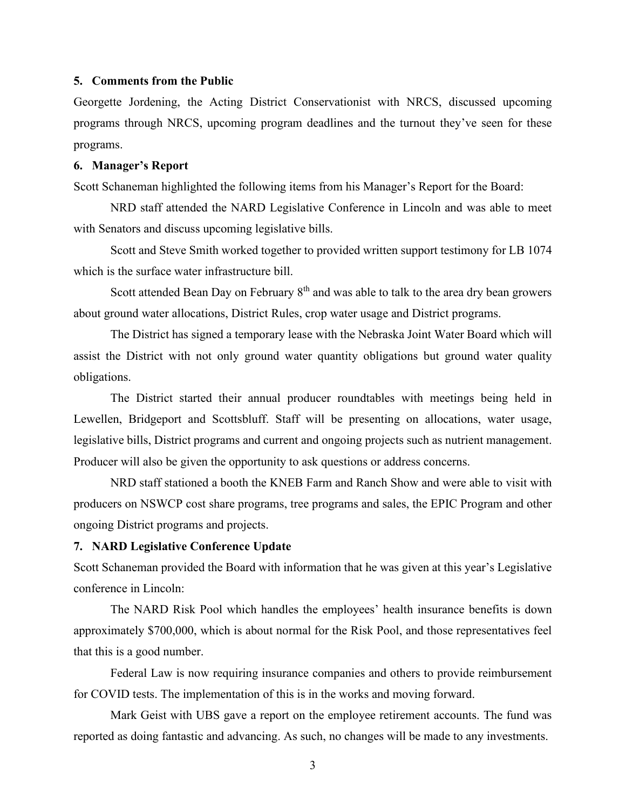#### **5. Comments from the Public**

Georgette Jordening, the Acting District Conservationist with NRCS, discussed upcoming programs through NRCS, upcoming program deadlines and the turnout they've seen for these programs.

## **6. Manager's Report**

Scott Schaneman highlighted the following items from his Manager's Report for the Board:

NRD staff attended the NARD Legislative Conference in Lincoln and was able to meet with Senators and discuss upcoming legislative bills.

Scott and Steve Smith worked together to provided written support testimony for LB 1074 which is the surface water infrastructure bill.

Scott attended Bean Day on February  $8<sup>th</sup>$  and was able to talk to the area dry bean growers about ground water allocations, District Rules, crop water usage and District programs.

The District has signed a temporary lease with the Nebraska Joint Water Board which will assist the District with not only ground water quantity obligations but ground water quality obligations.

The District started their annual producer roundtables with meetings being held in Lewellen, Bridgeport and Scottsbluff. Staff will be presenting on allocations, water usage, legislative bills, District programs and current and ongoing projects such as nutrient management. Producer will also be given the opportunity to ask questions or address concerns.

NRD staff stationed a booth the KNEB Farm and Ranch Show and were able to visit with producers on NSWCP cost share programs, tree programs and sales, the EPIC Program and other ongoing District programs and projects.

#### **7. NARD Legislative Conference Update**

Scott Schaneman provided the Board with information that he was given at this year's Legislative conference in Lincoln:

The NARD Risk Pool which handles the employees' health insurance benefits is down approximately \$700,000, which is about normal for the Risk Pool, and those representatives feel that this is a good number.

Federal Law is now requiring insurance companies and others to provide reimbursement for COVID tests. The implementation of this is in the works and moving forward.

Mark Geist with UBS gave a report on the employee retirement accounts. The fund was reported as doing fantastic and advancing. As such, no changes will be made to any investments.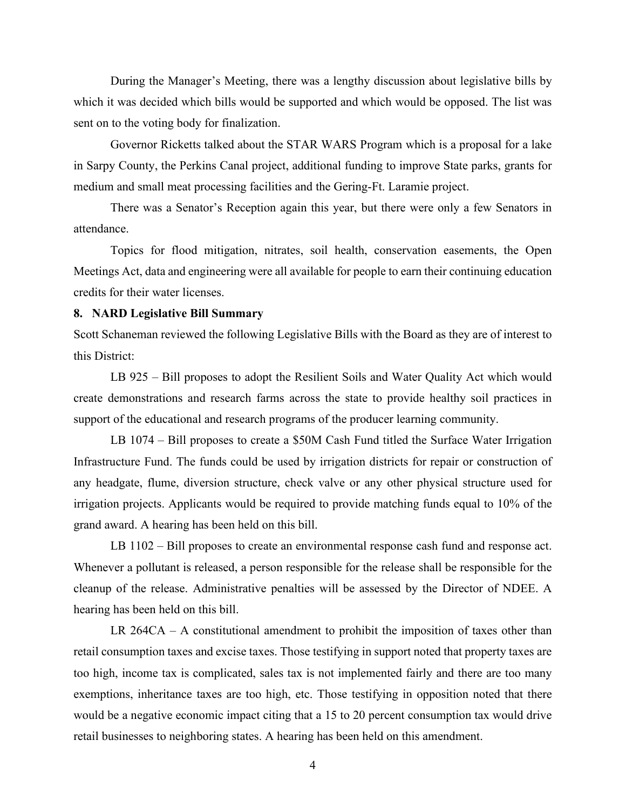During the Manager's Meeting, there was a lengthy discussion about legislative bills by which it was decided which bills would be supported and which would be opposed. The list was sent on to the voting body for finalization.

Governor Ricketts talked about the STAR WARS Program which is a proposal for a lake in Sarpy County, the Perkins Canal project, additional funding to improve State parks, grants for medium and small meat processing facilities and the Gering-Ft. Laramie project.

There was a Senator's Reception again this year, but there were only a few Senators in attendance.

Topics for flood mitigation, nitrates, soil health, conservation easements, the Open Meetings Act, data and engineering were all available for people to earn their continuing education credits for their water licenses.

#### **8. NARD Legislative Bill Summary**

Scott Schaneman reviewed the following Legislative Bills with the Board as they are of interest to this District:

LB 925 – Bill proposes to adopt the Resilient Soils and Water Quality Act which would create demonstrations and research farms across the state to provide healthy soil practices in support of the educational and research programs of the producer learning community.

LB 1074 – Bill proposes to create a \$50M Cash Fund titled the Surface Water Irrigation Infrastructure Fund. The funds could be used by irrigation districts for repair or construction of any headgate, flume, diversion structure, check valve or any other physical structure used for irrigation projects. Applicants would be required to provide matching funds equal to 10% of the grand award. A hearing has been held on this bill.

LB 1102 – Bill proposes to create an environmental response cash fund and response act. Whenever a pollutant is released, a person responsible for the release shall be responsible for the cleanup of the release. Administrative penalties will be assessed by the Director of NDEE. A hearing has been held on this bill.

LR 264CA – A constitutional amendment to prohibit the imposition of taxes other than retail consumption taxes and excise taxes. Those testifying in support noted that property taxes are too high, income tax is complicated, sales tax is not implemented fairly and there are too many exemptions, inheritance taxes are too high, etc. Those testifying in opposition noted that there would be a negative economic impact citing that a 15 to 20 percent consumption tax would drive retail businesses to neighboring states. A hearing has been held on this amendment.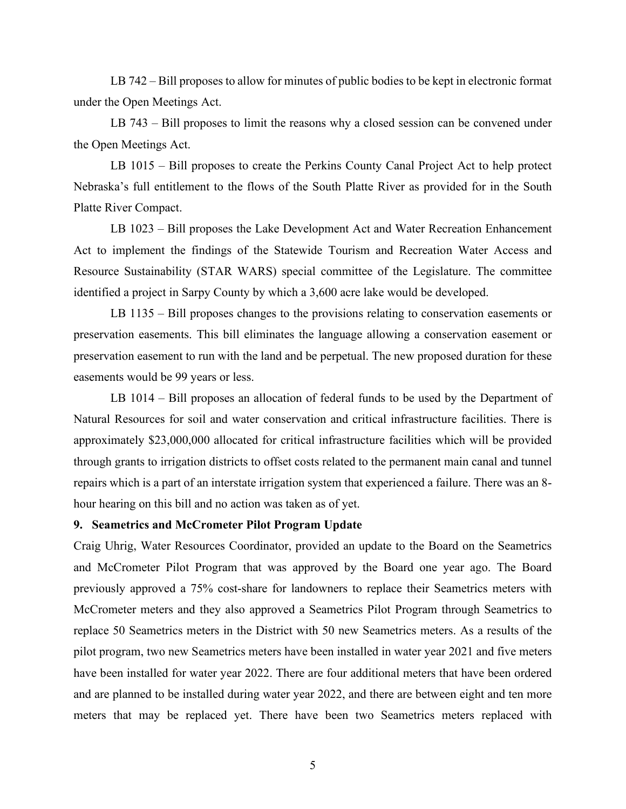LB 742 – Bill proposes to allow for minutes of public bodies to be kept in electronic format under the Open Meetings Act.

LB 743 – Bill proposes to limit the reasons why a closed session can be convened under the Open Meetings Act.

LB 1015 – Bill proposes to create the Perkins County Canal Project Act to help protect Nebraska's full entitlement to the flows of the South Platte River as provided for in the South Platte River Compact.

LB 1023 – Bill proposes the Lake Development Act and Water Recreation Enhancement Act to implement the findings of the Statewide Tourism and Recreation Water Access and Resource Sustainability (STAR WARS) special committee of the Legislature. The committee identified a project in Sarpy County by which a 3,600 acre lake would be developed.

LB 1135 – Bill proposes changes to the provisions relating to conservation easements or preservation easements. This bill eliminates the language allowing a conservation easement or preservation easement to run with the land and be perpetual. The new proposed duration for these easements would be 99 years or less.

LB 1014 – Bill proposes an allocation of federal funds to be used by the Department of Natural Resources for soil and water conservation and critical infrastructure facilities. There is approximately \$23,000,000 allocated for critical infrastructure facilities which will be provided through grants to irrigation districts to offset costs related to the permanent main canal and tunnel repairs which is a part of an interstate irrigation system that experienced a failure. There was an 8 hour hearing on this bill and no action was taken as of yet.

## **9. Seametrics and McCrometer Pilot Program Update**

Craig Uhrig, Water Resources Coordinator, provided an update to the Board on the Seametrics and McCrometer Pilot Program that was approved by the Board one year ago. The Board previously approved a 75% cost-share for landowners to replace their Seametrics meters with McCrometer meters and they also approved a Seametrics Pilot Program through Seametrics to replace 50 Seametrics meters in the District with 50 new Seametrics meters. As a results of the pilot program, two new Seametrics meters have been installed in water year 2021 and five meters have been installed for water year 2022. There are four additional meters that have been ordered and are planned to be installed during water year 2022, and there are between eight and ten more meters that may be replaced yet. There have been two Seametrics meters replaced with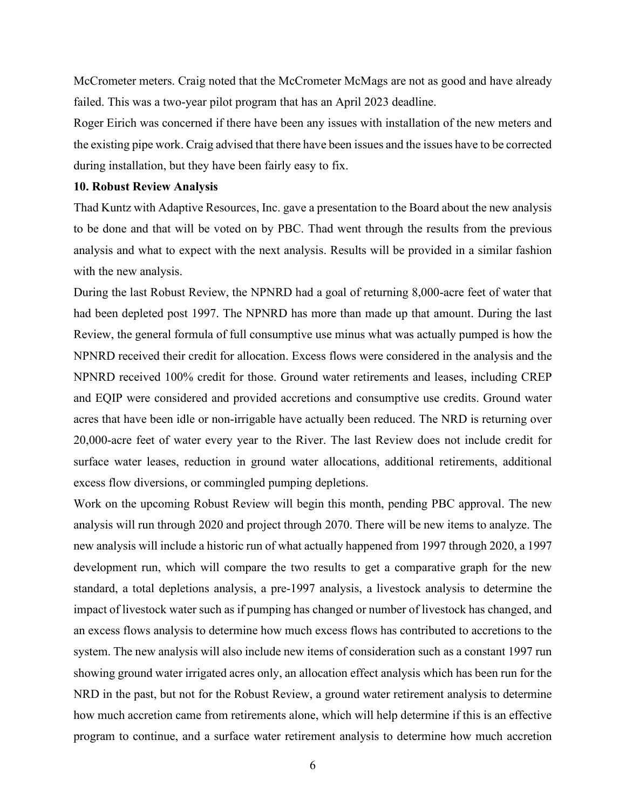McCrometer meters. Craig noted that the McCrometer McMags are not as good and have already failed. This was a two-year pilot program that has an April 2023 deadline.

Roger Eirich was concerned if there have been any issues with installation of the new meters and the existing pipe work. Craig advised that there have been issues and the issues have to be corrected during installation, but they have been fairly easy to fix.

### **10. Robust Review Analysis**

Thad Kuntz with Adaptive Resources, Inc. gave a presentation to the Board about the new analysis to be done and that will be voted on by PBC. Thad went through the results from the previous analysis and what to expect with the next analysis. Results will be provided in a similar fashion with the new analysis.

During the last Robust Review, the NPNRD had a goal of returning 8,000-acre feet of water that had been depleted post 1997. The NPNRD has more than made up that amount. During the last Review, the general formula of full consumptive use minus what was actually pumped is how the NPNRD received their credit for allocation. Excess flows were considered in the analysis and the NPNRD received 100% credit for those. Ground water retirements and leases, including CREP and EQIP were considered and provided accretions and consumptive use credits. Ground water acres that have been idle or non-irrigable have actually been reduced. The NRD is returning over 20,000-acre feet of water every year to the River. The last Review does not include credit for surface water leases, reduction in ground water allocations, additional retirements, additional excess flow diversions, or commingled pumping depletions.

Work on the upcoming Robust Review will begin this month, pending PBC approval. The new analysis will run through 2020 and project through 2070. There will be new items to analyze. The new analysis will include a historic run of what actually happened from 1997 through 2020, a 1997 development run, which will compare the two results to get a comparative graph for the new standard, a total depletions analysis, a pre-1997 analysis, a livestock analysis to determine the impact of livestock water such as if pumping has changed or number of livestock has changed, and an excess flows analysis to determine how much excess flows has contributed to accretions to the system. The new analysis will also include new items of consideration such as a constant 1997 run showing ground water irrigated acres only, an allocation effect analysis which has been run for the NRD in the past, but not for the Robust Review, a ground water retirement analysis to determine how much accretion came from retirements alone, which will help determine if this is an effective program to continue, and a surface water retirement analysis to determine how much accretion